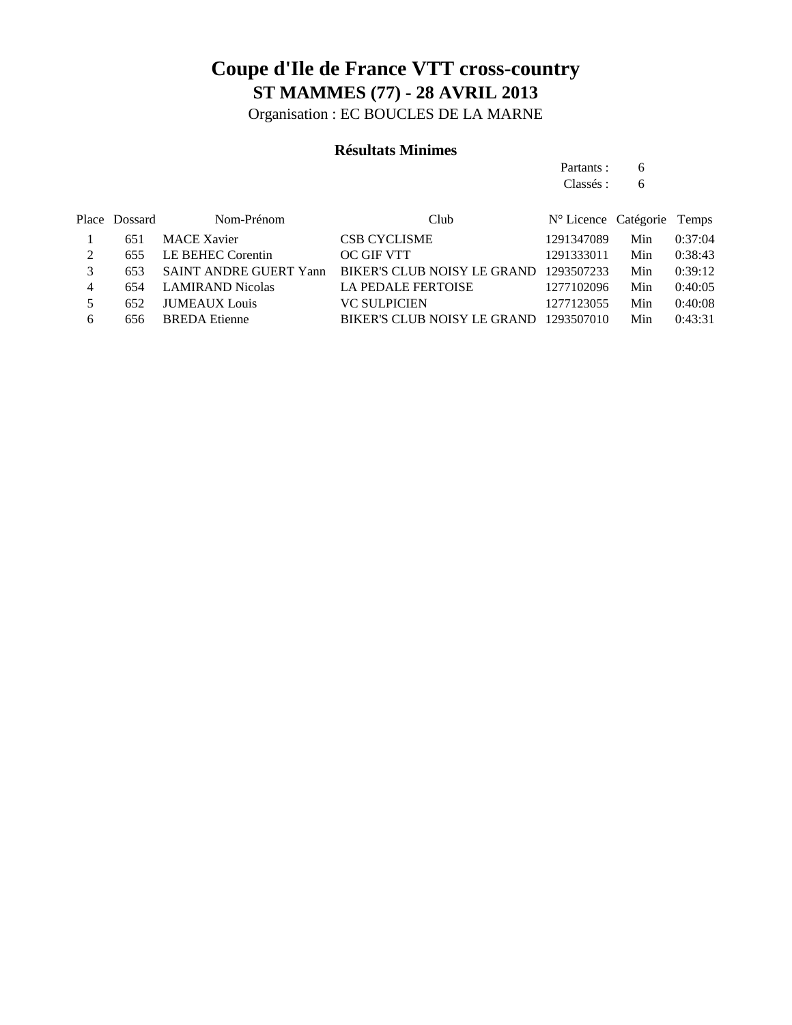Organisation : EC BOUCLES DE LA MARNE

#### **Résultats Minimes**

Partants : 6 Classés : 6

|   | Place Dossard | Nom-Prénom                    | Club                                   | N° Licence Catégorie Temps |     |         |
|---|---------------|-------------------------------|----------------------------------------|----------------------------|-----|---------|
|   | 651           | <b>MACE Xavier</b>            | <b>CSB CYCLISME</b>                    | 1291347089                 | Min | 0:37:04 |
|   | 655           | LE BEHEC Corentin             | <b>OC GIF VTT</b>                      | 1291333011                 | Min | 0:38:43 |
|   | 653           | <b>SAINT ANDRE GUERT Yann</b> | BIKER'S CLUB NOISY LE GRAND 1293507233 |                            | Min | 0:39:12 |
| 4 | 654           | <b>LAMIRAND Nicolas</b>       | <b>LA PEDALE FERTOISE</b>              | 1277102096                 | Min | 0:40:05 |
|   | 652           | <b>JUMEAUX</b> Louis          | <b>VC SULPICIEN</b>                    | 1277123055                 | Min | 0:40:08 |
| 6 | 656           | <b>BREDA</b> Etienne          | BIKER'S CLUB NOISY LE GRAND            | 1293507010                 | Min | 0:43:31 |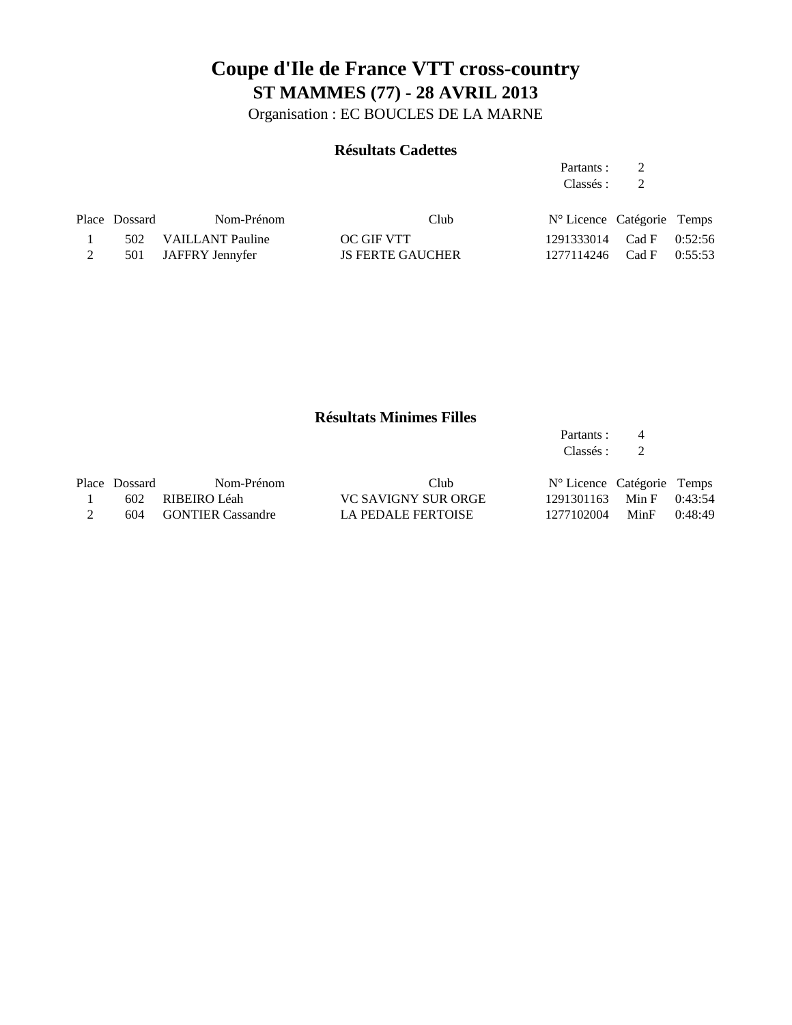Organisation : EC BOUCLES DE LA MARNE

#### **Résultats Cadettes**

Partants : 2 Classés : 2

| Place Dossard | Nom-Prénom           | Club                    | N° Licence Catégorie Temps   |  |
|---------------|----------------------|-------------------------|------------------------------|--|
|               | 502 VAILLANT Pauline | OC GIF VTT              | 1291333014 Cad F 0:52:56     |  |
|               | 501 JAFFRY Jennyfer  | <b>JS FERTE GAUCHER</b> | $1277114246$ Cad F $0:55:53$ |  |

#### **Résultats Minimes Filles**

|               |                          |                           | Partants :<br>Classés :    | $\overline{4}$<br>2 |         |
|---------------|--------------------------|---------------------------|----------------------------|---------------------|---------|
| Place Dossard | Nom-Prénom               | Club                      | N° Licence Catégorie Temps |                     |         |
| 602           | RIBEIRO Léah             | VC SAVIGNY SUR ORGE       | 1291301163 Min F 0:43:54   |                     |         |
| 604           | <b>GONTIER Cassandre</b> | <b>LA PEDALE FERTOISE</b> | 1277102004                 | MinF                | 0:48:49 |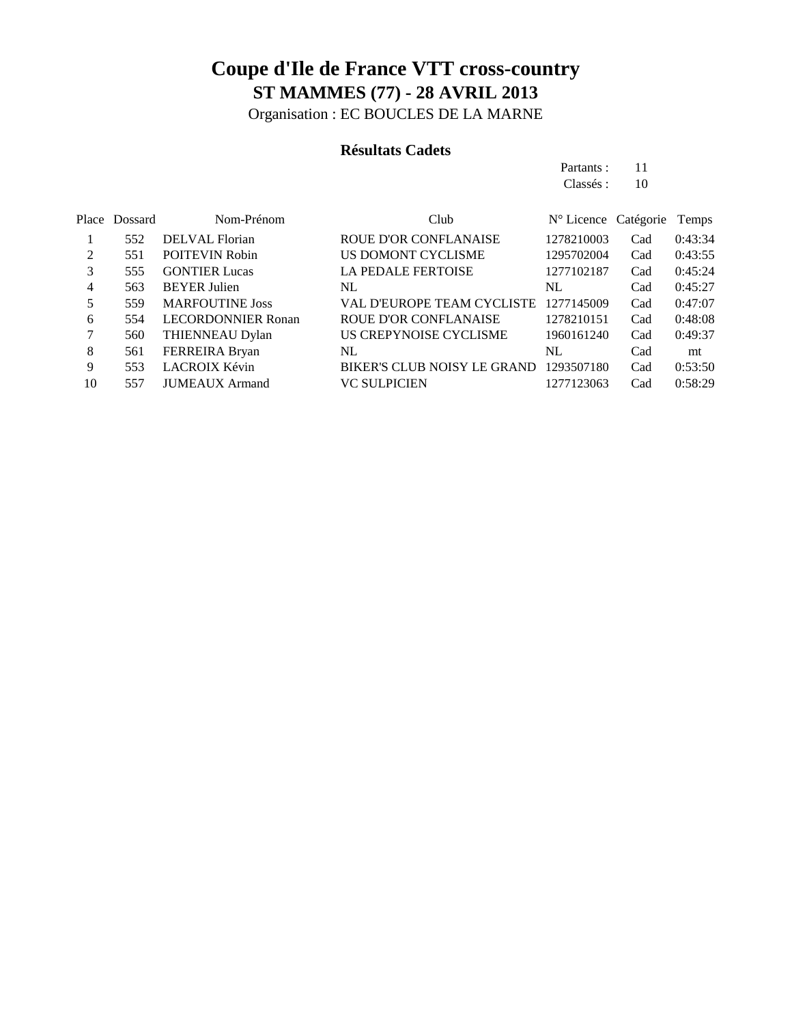Organisation : EC BOUCLES DE LA MARNE

#### **Résultats Cadets**

Partants : 11 Classés: 10

|                | Place Dossard | Nom-Prénom                | Club                               | N° Licence Catégorie |     | Temps   |
|----------------|---------------|---------------------------|------------------------------------|----------------------|-----|---------|
|                | 552           | DELVAL Florian            | <b>ROUE D'OR CONFLANAISE</b>       | 1278210003           | Cad | 0:43:34 |
| $\mathfrak{D}$ | 551           | <b>POITEVIN Robin</b>     | US DOMONT CYCLISME                 | 1295702004           | Cad | 0:43:55 |
| 3              | 555           | <b>GONTIER Lucas</b>      | <b>LA PEDALE FERTOISE</b>          | 1277102187           | Cad | 0:45:24 |
| 4              | 563           | <b>BEYER Julien</b>       | NL                                 | NL                   | Cad | 0:45:27 |
| 5              | 559           | <b>MARFOUTINE Joss</b>    | VAL D'EUROPE TEAM CYCLISTE         | 1277145009           | Cad | 0:47:07 |
| 6              | 554           | <b>LECORDONNIER Ronan</b> | <b>ROUE D'OR CONFLANAISE</b>       | 1278210151           | Cad | 0:48:08 |
|                | 560           | THIENNEAU Dylan           | US CREPYNOISE CYCLISME             | 1960161240           | Cad | 0:49:37 |
| 8              | 561           | FERREIRA Bryan            | NL                                 | NL                   | Cad | mt      |
| 9              | 553           | LACROIX Kévin             | <b>BIKER'S CLUB NOISY LE GRAND</b> | 1293507180           | Cad | 0:53:50 |
| 10             | 557           | <b>JUMEAUX</b> Armand     | <b>VC SULPICIEN</b>                | 1277123063           | Cad | 0:58:29 |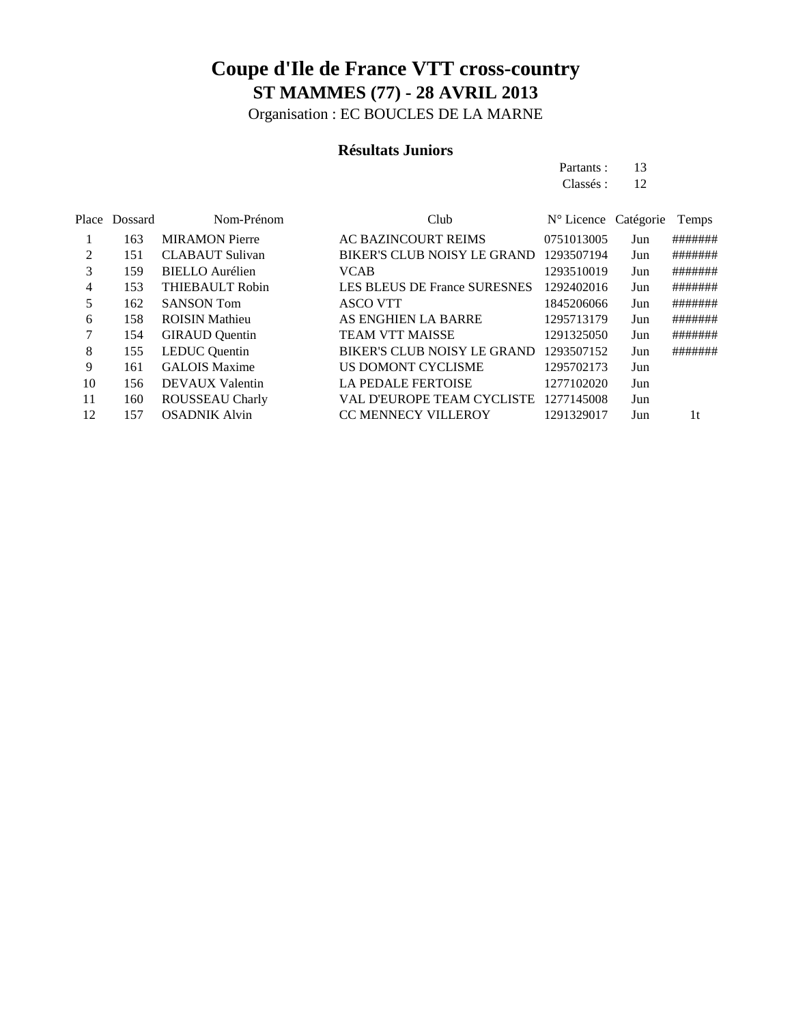Organisation : EC BOUCLES DE LA MARNE

#### **Résultats Juniors**

Partants : 13 Classés : 12

| Place Dossard | Nom-Prénom             | Club                                |            |     | Temps                |
|---------------|------------------------|-------------------------------------|------------|-----|----------------------|
| 163           | <b>MIRAMON</b> Pierre  | <b>AC BAZINCOURT REIMS</b>          | 0751013005 | Jun | #######              |
| 151           | <b>CLABAUT Sulivan</b> | <b>BIKER'S CLUB NOISY LE GRAND</b>  | 1293507194 | Jun | #######              |
| 159           | <b>BIELLO</b> Aurélien | <b>VCAB</b>                         | 1293510019 | Jun | #######              |
| 153           | <b>THIEBAULT Robin</b> | <b>LES BLEUS DE France SURESNES</b> | 1292402016 | Jun | #######              |
| 162           | <b>SANSON Tom</b>      | <b>ASCO VTT</b>                     | 1845206066 | Jun | #######              |
| 158           | <b>ROISIN Mathieu</b>  | AS ENGHIEN LA BARRE                 | 1295713179 | Jun | #######              |
| 154           | <b>GIRAUD</b> Quentin  | <b>TEAM VTT MAISSE</b>              | 1291325050 | Jun | #######              |
| 155           | <b>LEDUC</b> Quentin   | BIKER'S CLUB NOISY LE GRAND         | 1293507152 | Jun | #######              |
| 161           | <b>GALOIS Maxime</b>   | US DOMONT CYCLISME                  | 1295702173 | Jun |                      |
| 156           | <b>DEVAUX Valentin</b> | LA PEDALE FERTOISE                  | 1277102020 | Jun |                      |
| 160           | ROUSSEAU Charly        | VAL D'EUROPE TEAM CYCLISTE          | 1277145008 | Jun |                      |
| 157           | <b>OSADNIK Alvin</b>   | <b>CC MENNECY VILLEROY</b>          | 1291329017 | Jun | 1t                   |
|               |                        |                                     |            |     | N° Licence Catégorie |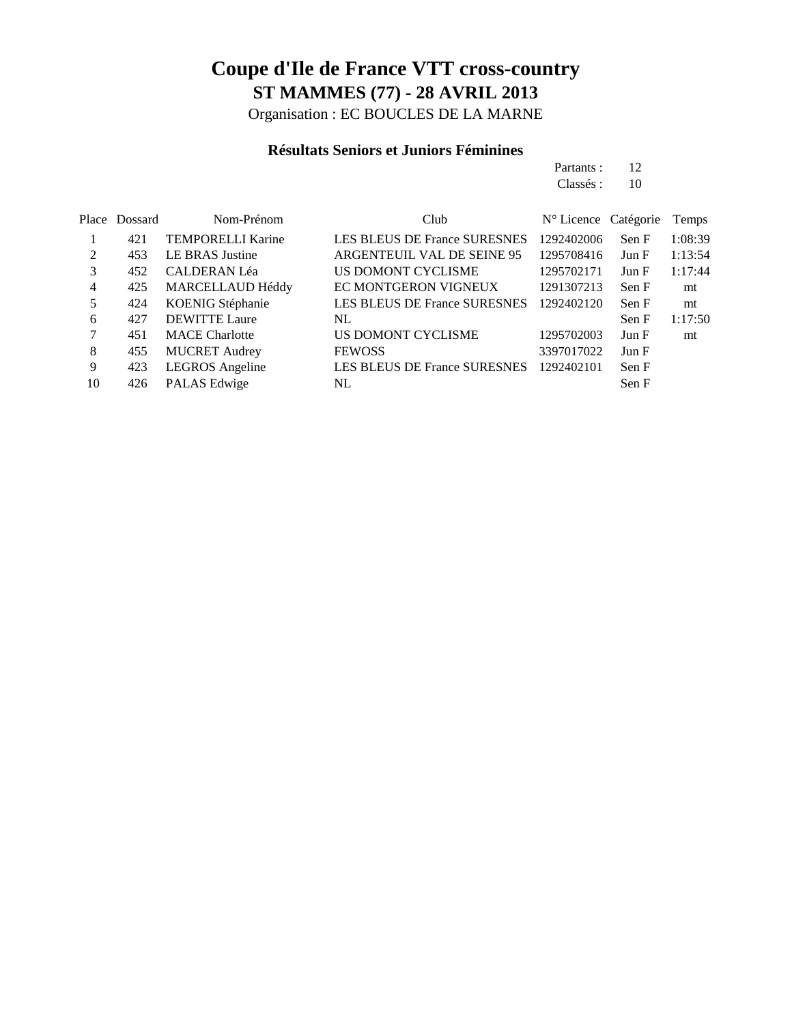Organisation : EC BOUCLES DE LA MARNE

#### **Résultats Seniors et Juniors Féminines**

| Partants: 12 |  |
|--------------|--|
| Class 6: 10  |  |
|              |  |

|    | Place Dossard | Nom-Prénom               | Club                                | N° Licence Catégorie |       | Temps   |
|----|---------------|--------------------------|-------------------------------------|----------------------|-------|---------|
|    | 421           | <b>TEMPORELLI Karine</b> | <b>LES BLEUS DE France SURESNES</b> | 1292402006           | Sen F | 1:08:39 |
| 2  | 453           | LE BRAS Justine          | ARGENTEUIL VAL DE SEINE 95          | 1295708416           | Jun F | 1:13:54 |
| 3  | 452           | <b>CALDERAN Léa</b>      | US DOMONT CYCLISME                  | 1295702171           | Jun F | 1:17:44 |
| 4  | 425           | MARCELLAUD Héddy         | EC MONTGERON VIGNEUX                | 1291307213           | Sen F | mt      |
|    | 424           | KOENIG Stéphanie         | <b>LES BLEUS DE France SURESNES</b> | 1292402120           | Sen F | mt      |
| 6  | 427           | <b>DEWITTE Laure</b>     | NL                                  |                      | Sen F | 1:17:50 |
|    | 451           | <b>MACE Charlotte</b>    | US DOMONT CYCLISME                  | 1295702003           | Jun F | mt      |
| 8  | 455           | <b>MUCRET Audrey</b>     | <b>FEWOSS</b>                       | 3397017022           | Jun F |         |
| 9  | 423           | <b>LEGROS</b> Angeline   | LES BLEUS DE France SURESNES        | 1292402101           | Sen F |         |
| 10 | 426           | PALAS Edwige             | NL.                                 |                      | Sen F |         |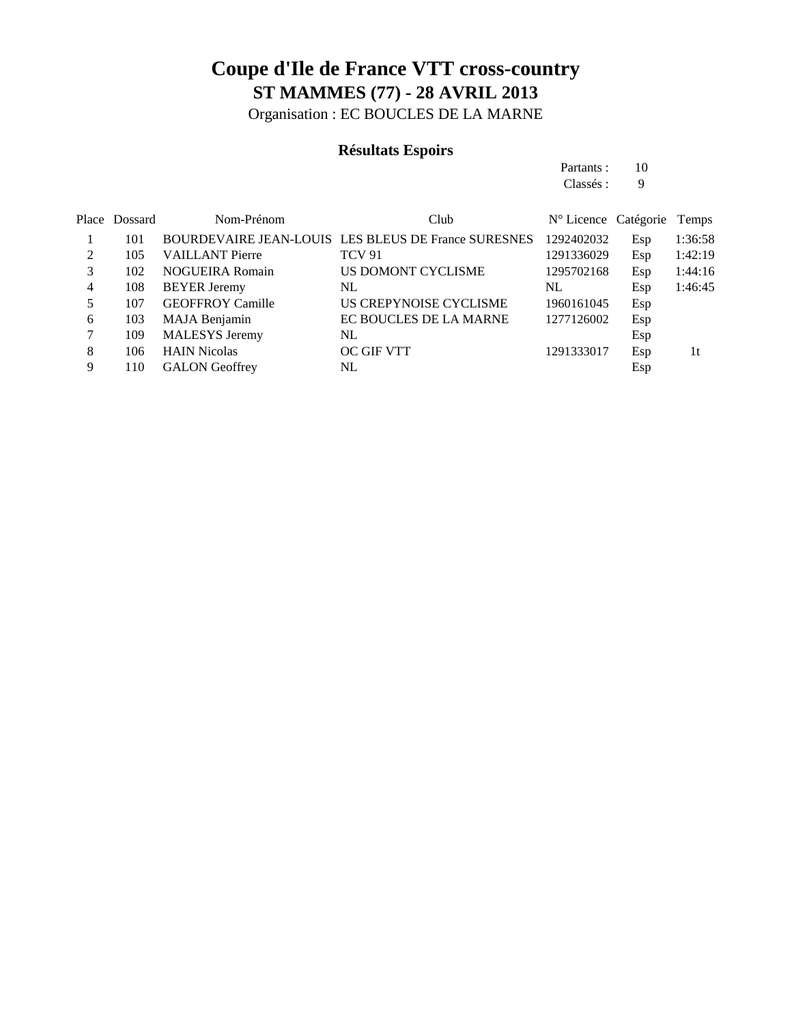Organisation : EC BOUCLES DE LA MARNE

#### **Résultats Espoirs**

Partants : 10 Classés : 9

|               | Place Dossard | Nom-Prénom              | Club                                                | N° Licence Catégorie Temps |     |         |
|---------------|---------------|-------------------------|-----------------------------------------------------|----------------------------|-----|---------|
|               | 101           |                         | BOURDEVAIRE JEAN-LOUIS LES BLEUS DE France SURESNES | 1292402032                 | Esp | 1:36:58 |
| $\mathcal{L}$ | 105           | <b>VAILLANT Pierre</b>  | <b>TCV 91</b>                                       | 1291336029                 | Esp | 1:42:19 |
| 3             | 102           | <b>NOGUEIRA Romain</b>  | US DOMONT CYCLISME                                  | 1295702168                 | Esp | 1:44:16 |
| 4             | 108           | <b>BEYER Jeremy</b>     | NL                                                  | NL                         | Esp | 1:46:45 |
|               | 107           | <b>GEOFFROY Camille</b> | US CREPYNOISE CYCLISME                              | 1960161045                 | Esp |         |
| 6             | 103           | MAJA Benjamin           | EC BOUCLES DE LA MARNE                              | 1277126002                 | Esp |         |
|               | 109           | <b>MALESYS</b> Jeremy   | NL                                                  |                            | Esp |         |
| 8             | 106           | <b>HAIN Nicolas</b>     | <b>OC GIF VTT</b>                                   | 1291333017                 | Esp | 1t      |
| 9             | 110           | <b>GALON</b> Geoffrey   | NL                                                  |                            | Esp |         |
|               |               |                         |                                                     |                            |     |         |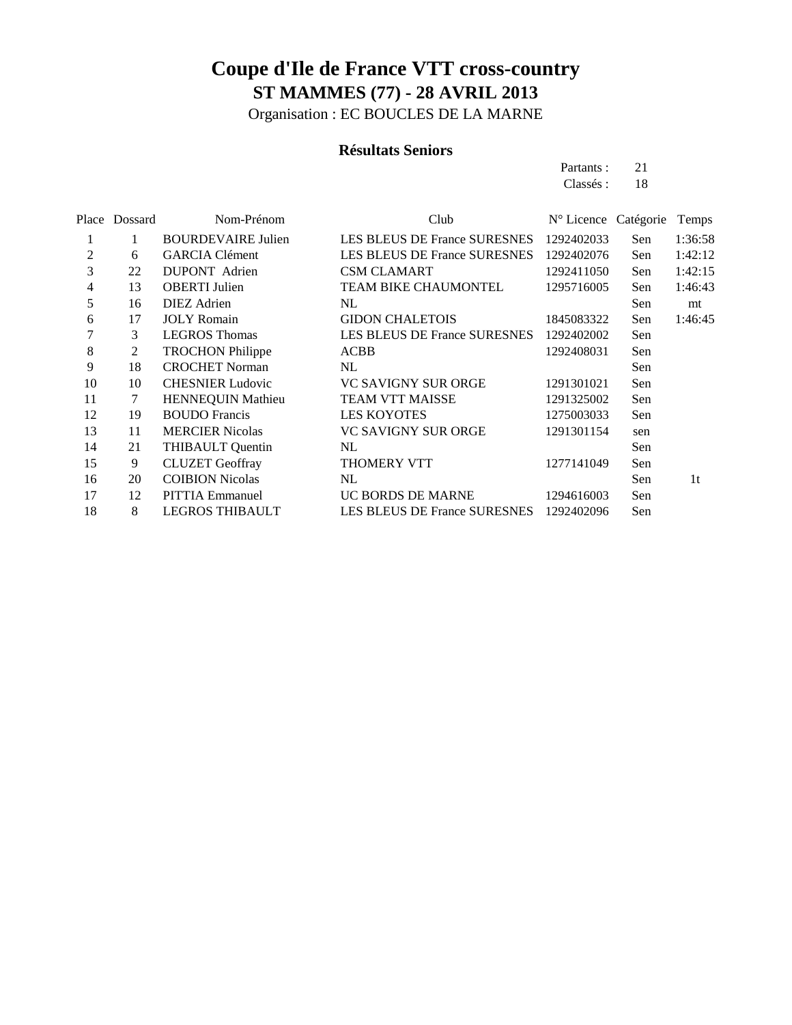Organisation : EC BOUCLES DE LA MARNE

#### **Résultats Seniors**

Partants : 21 Classés: 18

|                | Place Dossard | Nom-Prénom                | Club                                | N° Licence Catégorie |     | Temps   |
|----------------|---------------|---------------------------|-------------------------------------|----------------------|-----|---------|
| 1              |               | <b>BOURDEVAIRE Julien</b> | <b>LES BLEUS DE France SURESNES</b> | 1292402033           | Sen | 1:36:58 |
| $\overline{c}$ | 6             | <b>GARCIA Clément</b>     | LES BLEUS DE France SURESNES        | 1292402076           | Sen | 1:42:12 |
| 3              | 22            | <b>DUPONT</b> Adrien      | <b>CSM CLAMART</b>                  | 1292411050           | Sen | 1:42:15 |
| 4              | 13            | <b>OBERTI</b> Julien      | <b>TEAM BIKE CHAUMONTEL</b>         | 1295716005           | Sen | 1:46:43 |
| 5              | 16            | <b>DIEZ</b> Adrien        | NL                                  |                      | Sen | mt      |
| 6              | 17            | <b>JOLY</b> Romain        | <b>GIDON CHALETOIS</b>              | 1845083322           | Sen | 1:46:45 |
| 7              | 3             | <b>LEGROS</b> Thomas      | LES BLEUS DE France SURESNES        | 1292402002           | Sen |         |
| 8              | 2             | <b>TROCHON Philippe</b>   | <b>ACBB</b>                         | 1292408031           | Sen |         |
| 9              | 18            | <b>CROCHET Norman</b>     | NL                                  |                      | Sen |         |
| 10             | 10            | <b>CHESNIER Ludovic</b>   | <b>VC SAVIGNY SUR ORGE</b>          | 1291301021           | Sen |         |
| 11             | 7             | HENNEQUIN Mathieu         | <b>TEAM VTT MAISSE</b>              | 1291325002           | Sen |         |
| 12             | 19            | <b>BOUDO</b> Francis      | <b>LES KOYOTES</b>                  | 1275003033           | Sen |         |
| 13             | 11            | <b>MERCIER Nicolas</b>    | <b>VC SAVIGNY SUR ORGE</b>          | 1291301154           | sen |         |
| 14             | 21            | <b>THIBAULT Quentin</b>   | NL                                  |                      | Sen |         |
| 15             | 9             | <b>CLUZET</b> Geoffray    | THOMERY VTT                         | 1277141049           | Sen |         |
| 16             | 20            | <b>COIBION Nicolas</b>    | NL                                  |                      | Sen | 1t      |
| 17             | 12            | <b>PITTIA Emmanuel</b>    | UC BORDS DE MARNE                   | 1294616003           | Sen |         |
| 18             | 8             | <b>LEGROS THIBAULT</b>    | LES BLEUS DE France SURESNES        | 1292402096           | Sen |         |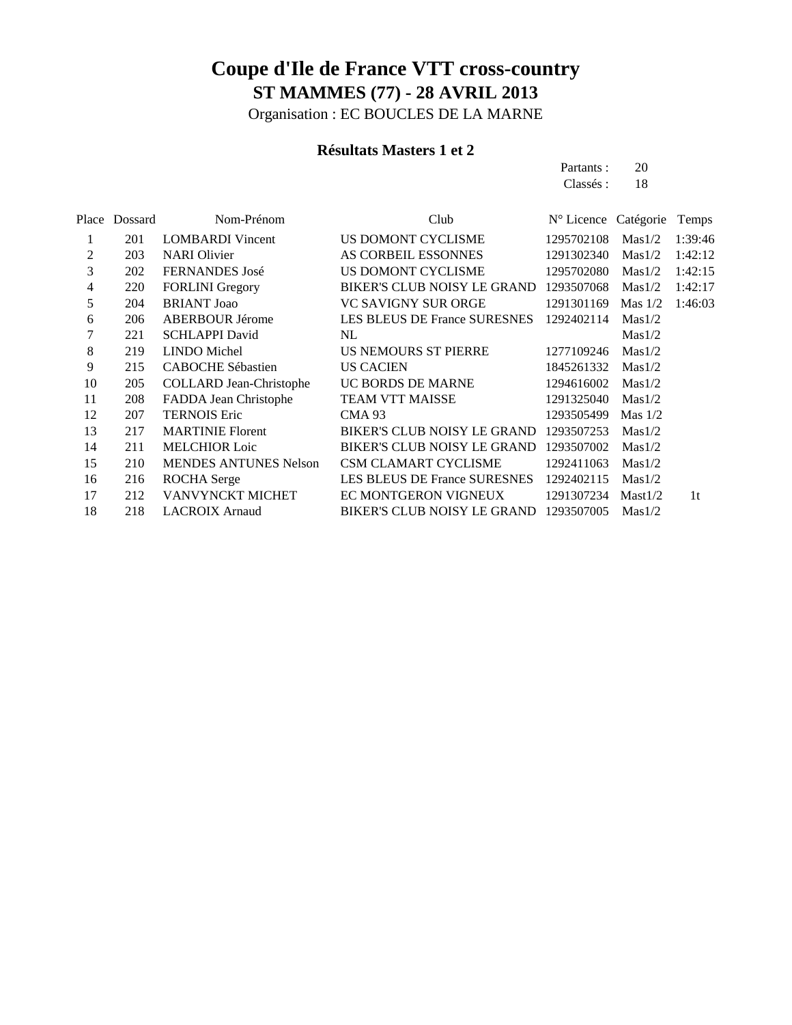Organisation : EC BOUCLES DE LA MARNE

#### **Résultats Masters 1 et 2**

Partants : 20 Classés: 18

| Place | Dossard | Nom-Prénom                     | Club                                | N° Licence Catégorie |           | Temps   |
|-------|---------|--------------------------------|-------------------------------------|----------------------|-----------|---------|
| 1     | 201     | <b>LOMBARDI</b> Vincent        | US DOMONT CYCLISME                  | 1295702108           | Mas1/2    | 1:39:46 |
| 2     | 203     | <b>NARI</b> Olivier            | AS CORBEIL ESSONNES                 | 1291302340           | Mas1/2    | 1:42:12 |
| 3     | 202     | <b>FERNANDES</b> José          | US DOMONT CYCLISME                  | 1295702080           | Mas1/2    | 1:42:15 |
| 4     | 220     | <b>FORLINI</b> Gregory         | <b>BIKER'S CLUB NOISY LE GRAND</b>  | 1293507068           | Mas1/2    | 1:42:17 |
| 5     | 204     | <b>BRIANT Joao</b>             | VC SAVIGNY SUR ORGE                 | 1291301169           | Mas $1/2$ | 1:46:03 |
| 6     | 206     | <b>ABERBOUR Jérome</b>         | <b>LES BLEUS DE France SURESNES</b> | 1292402114           | Mas1/2    |         |
| 7     | 221     | <b>SCHLAPPI David</b>          | NL                                  |                      | Mas1/2    |         |
| 8     | 219     | <b>LINDO</b> Michel            | US NEMOURS ST PIERRE                | 1277109246           | Mas1/2    |         |
| 9     | 215     | <b>CABOCHE Sébastien</b>       | <b>US CACIEN</b>                    | 1845261332           | Mas1/2    |         |
| 10    | 205     | <b>COLLARD Jean-Christophe</b> | UC BORDS DE MARNE                   | 1294616002           | Mas1/2    |         |
| 11    | 208     | FADDA Jean Christophe          | <b>TEAM VTT MAISSE</b>              | 1291325040           | Mas1/2    |         |
| 12    | 207     | <b>TERNOIS Eric</b>            | <b>CMA 93</b>                       | 1293505499           | Mas $1/2$ |         |
| 13    | 217     | <b>MARTINIE Florent</b>        | <b>BIKER'S CLUB NOISY LE GRAND</b>  | 1293507253           | Mas1/2    |         |
| 14    | 211     | <b>MELCHIOR Loic</b>           | <b>BIKER'S CLUB NOISY LE GRAND</b>  | 1293507002           | Mas1/2    |         |
| 15    | 210     | <b>MENDES ANTUNES Nelson</b>   | <b>CSM CLAMART CYCLISME</b>         | 1292411063           | Mas1/2    |         |
| 16    | 216     | <b>ROCHA</b> Serge             | LES BLEUS DE France SURESNES        | 1292402115           | Mas1/2    |         |
| 17    | 212     | VANVYNCKT MICHET               | EC MONTGERON VIGNEUX                | 1291307234           | Mast1/2   | 1t      |
| 18    | 218     | <b>LACROIX Arnaud</b>          | <b>BIKER'S CLUB NOISY LE GRAND</b>  | 1293507005           | Mas1/2    |         |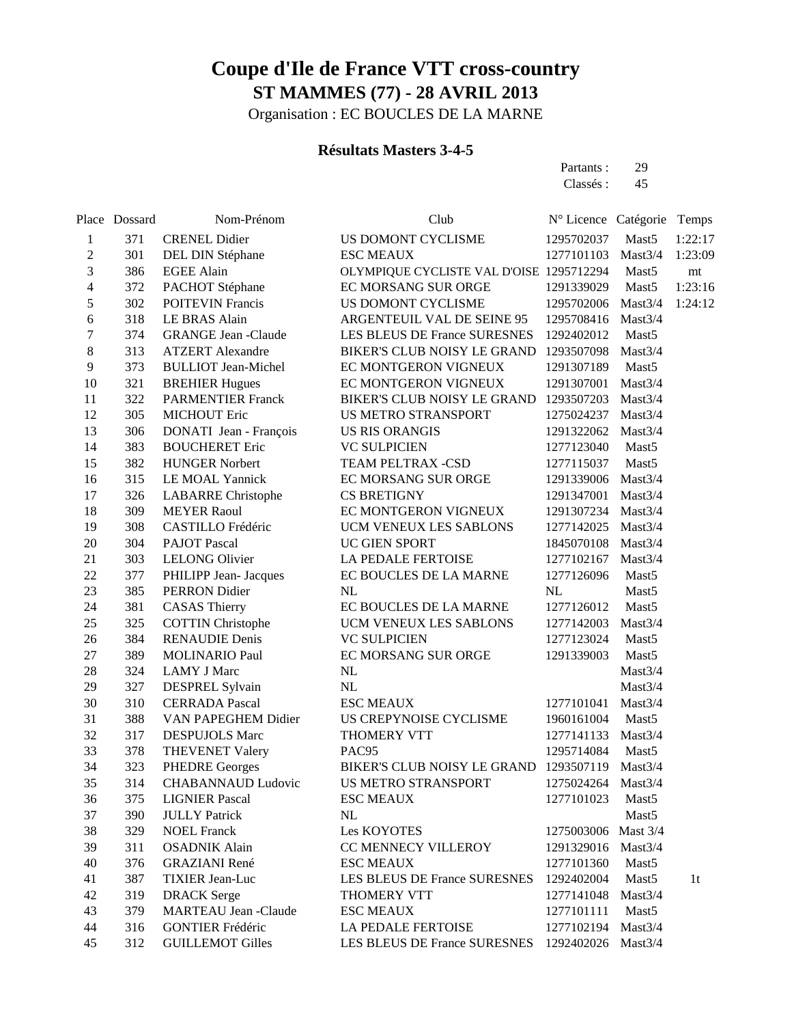Organisation : EC BOUCLES DE LA MARNE

#### **Résultats Masters 3-4-5**

Partants : 29 Classés : 45

|                  | Place Dossard | Nom-Prénom                  | Club                                     | Nº Licence Catégorie |                     | Temps          |
|------------------|---------------|-----------------------------|------------------------------------------|----------------------|---------------------|----------------|
| 1                | 371           | <b>CRENEL Didier</b>        | US DOMONT CYCLISME                       | 1295702037           | Mast5               | 1:22:17        |
| $\overline{c}$   | 301           | DEL DIN Stéphane            | <b>ESC MEAUX</b>                         | 1277101103           | Mast <sub>3/4</sub> | 1:23:09        |
| 3                | 386           | <b>EGEE Alain</b>           | OLYMPIQUE CYCLISTE VAL D'OISE 1295712294 |                      | Mast <sub>5</sub>   | mt             |
| 4                | 372           | PACHOT Stéphane             | EC MORSANG SUR ORGE                      | 1291339029           | Mast5               | 1:23:16        |
| 5                | 302           | <b>POITEVIN Francis</b>     | US DOMONT CYCLISME                       | 1295702006           | Mast3/4             | 1:24:12        |
| 6                | 318           | LE BRAS Alain               | ARGENTEUIL VAL DE SEINE 95               | 1295708416           | Mast3/4             |                |
| $\boldsymbol{7}$ | 374           | <b>GRANGE Jean -Claude</b>  | LES BLEUS DE France SURESNES             | 1292402012           | Mast <sub>5</sub>   |                |
| 8                | 313           | <b>ATZERT</b> Alexandre     | BIKER'S CLUB NOISY LE GRAND              | 1293507098           | Mast3/4             |                |
| 9                | 373           | <b>BULLIOT</b> Jean-Michel  | EC MONTGERON VIGNEUX                     | 1291307189           | Mast <sub>5</sub>   |                |
| 10               | 321           | <b>BREHIER Hugues</b>       | EC MONTGERON VIGNEUX                     | 1291307001           | Mast <sub>3/4</sub> |                |
| 11               | 322           | <b>PARMENTIER Franck</b>    | <b>BIKER'S CLUB NOISY LE GRAND</b>       | 1293507203           | Mast3/4             |                |
| 12               | 305           | MICHOUT Eric                | US METRO STRANSPORT                      | 1275024237           | Mast3/4             |                |
| 13               | 306           | DONATI Jean - François      | <b>US RIS ORANGIS</b>                    | 1291322062           | Mast3/4             |                |
| 14               | 383           | <b>BOUCHERET Eric</b>       | <b>VC SULPICIEN</b>                      | 1277123040           | Mast <sub>5</sub>   |                |
| 15               | 382           | <b>HUNGER Norbert</b>       | TEAM PELTRAX -CSD                        | 1277115037           | Mast <sub>5</sub>   |                |
| 16               | 315           | LE MOAL Yannick             | EC MORSANG SUR ORGE                      | 1291339006           | Mast3/4             |                |
| 17               | 326           | <b>LABARRE</b> Christophe   | <b>CS BRETIGNY</b>                       | 1291347001           | Mast3/4             |                |
| 18               | 309           | <b>MEYER Raoul</b>          | EC MONTGERON VIGNEUX                     | 1291307234           | Mast3/4             |                |
| 19               | 308           | CASTILLO Frédéric           | UCM VENEUX LES SABLONS                   | 1277142025           | Mast3/4             |                |
| 20               | 304           | <b>PAJOT Pascal</b>         | UC GIEN SPORT                            | 1845070108           | Mast3/4             |                |
| 21               | 303           | <b>LELONG Olivier</b>       | LA PEDALE FERTOISE                       | 1277102167           | Mast3/4             |                |
| 22               | 377           | PHILIPP Jean- Jacques       | EC BOUCLES DE LA MARNE                   | 1277126096           | Mast <sub>5</sub>   |                |
| 23               | 385           | <b>PERRON</b> Didier        | NL                                       | NL                   | Mast <sub>5</sub>   |                |
| 24               | 381           | <b>CASAS Thierry</b>        | EC BOUCLES DE LA MARNE                   | 1277126012           | Mast <sub>5</sub>   |                |
| 25               | 325           | <b>COTTIN Christophe</b>    | UCM VENEUX LES SABLONS                   | 1277142003           | Mast3/4             |                |
| 26               | 384           | <b>RENAUDIE Denis</b>       | <b>VC SULPICIEN</b>                      | 1277123024           | Mast <sub>5</sub>   |                |
| 27               | 389           | <b>MOLINARIO Paul</b>       | EC MORSANG SUR ORGE                      | 1291339003           | Mast <sub>5</sub>   |                |
| 28               | 324           | <b>LAMY J Marc</b>          | NL                                       |                      | Mast3/4             |                |
| 29               | 327           | DESPREL Sylvain             | NL                                       |                      | Mast3/4             |                |
| 30               | 310           | <b>CERRADA Pascal</b>       | <b>ESC MEAUX</b>                         | 1277101041           | Mast3/4             |                |
| 31               | 388           | VAN PAPEGHEM Didier         | US CREPYNOISE CYCLISME                   | 1960161004           | Mast <sub>5</sub>   |                |
| 32               | 317           | <b>DESPUJOLS Marc</b>       | THOMERY VTT                              | 1277141133           | Mast3/4             |                |
| 33               | 378           | <b>THEVENET Valery</b>      | PAC95                                    | 1295714084           | Mast <sub>5</sub>   |                |
| 34               | 323           | <b>PHEDRE Georges</b>       | BIKER'S CLUB NOISY LE GRAND              | 1293507119           | Mast3/4             |                |
| 35               | 314           | <b>CHABANNAUD Ludovic</b>   | US METRO STRANSPORT                      | 1275024264           | Mast3/4             |                |
| 36               | 375           | <b>LIGNIER Pascal</b>       | <b>ESC MEAUX</b>                         | 1277101023           | Mast <sub>5</sub>   |                |
| 37               | 390           | <b>JULLY Patrick</b>        | $\rm NL$                                 |                      | Mast5               |                |
| 38               | 329           | <b>NOEL Franck</b>          | Les KOYOTES                              | 1275003006 Mast 3/4  |                     |                |
| 39               | 311           | <b>OSADNIK Alain</b>        | CC MENNECY VILLEROY                      | 1291329016           | Mast3/4             |                |
| 40               | 376           | <b>GRAZIANI</b> René        | <b>ESC MEAUX</b>                         | 1277101360           | Mast <sub>5</sub>   |                |
| 41               | 387           | <b>TIXIER Jean-Luc</b>      | LES BLEUS DE France SURESNES             | 1292402004           | Mast5               | 1 <sub>t</sub> |
| 42               | 319           | <b>DRACK</b> Serge          | THOMERY VTT                              | 1277141048           | Mast3/4             |                |
| 43               | 379           | <b>MARTEAU Jean -Claude</b> | <b>ESC MEAUX</b>                         | 1277101111           | Mast <sub>5</sub>   |                |
| 44               | 316           | <b>GONTIER Frédéric</b>     | LA PEDALE FERTOISE                       | 1277102194           | Mast3/4             |                |
| 45               | 312           | <b>GUILLEMOT Gilles</b>     | LES BLEUS DE France SURESNES             | 1292402026           | Mast3/4             |                |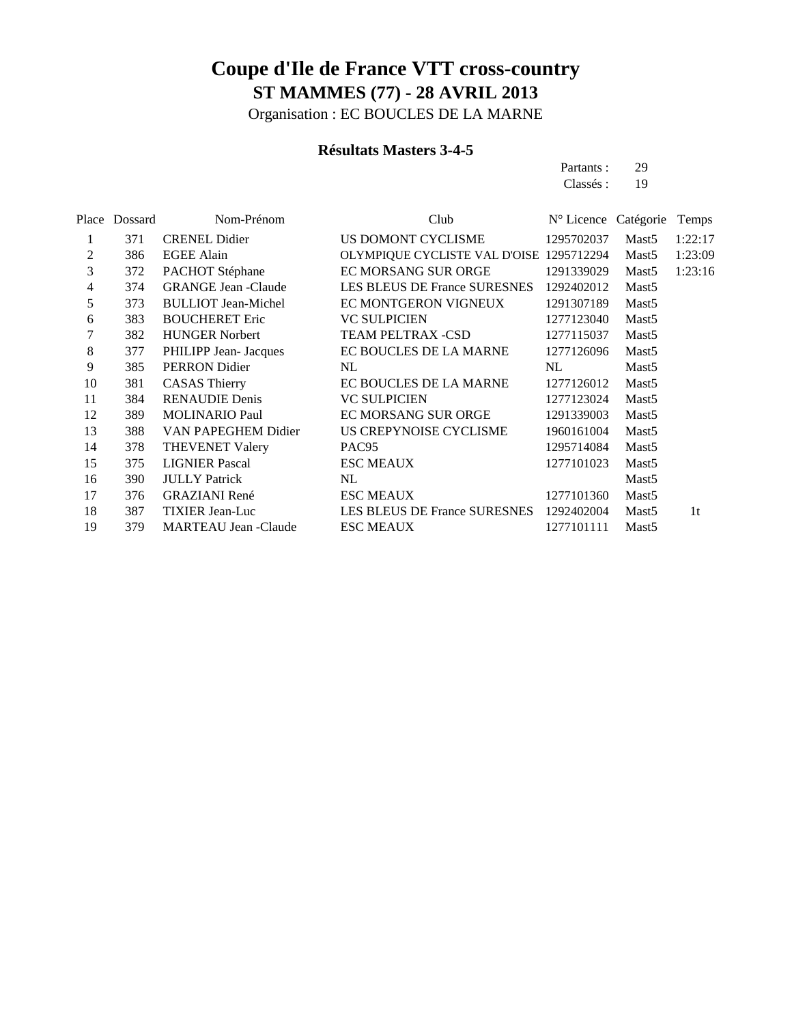Organisation : EC BOUCLES DE LA MARNE

#### **Résultats Masters 3-4-5**

Partants : 29 Classés : 19

|    | Place Dossard | Nom-Prénom                  | Club                                     | N° Licence Catégorie |                   | Temps   |
|----|---------------|-----------------------------|------------------------------------------|----------------------|-------------------|---------|
|    | 371           | <b>CRENEL Didier</b>        | US DOMONT CYCLISME                       | 1295702037           | Mast <sub>5</sub> | 1:22:17 |
| 2  | 386           | <b>EGEE Alain</b>           | OLYMPIQUE CYCLISTE VAL D'OISE 1295712294 |                      | Mast <sub>5</sub> | 1:23:09 |
| 3  | 372           | PACHOT Stéphane             | EC MORSANG SUR ORGE                      | 1291339029           | Mast <sub>5</sub> | 1:23:16 |
| 4  | 374           | <b>GRANGE Jean -Claude</b>  | LES BLEUS DE France SURESNES             | 1292402012           | Mast <sub>5</sub> |         |
| 5  | 373           | <b>BULLIOT Jean-Michel</b>  | EC MONTGERON VIGNEUX                     | 1291307189           | Mast <sub>5</sub> |         |
| 6  | 383           | <b>BOUCHERET Eric</b>       | <b>VC SULPICIEN</b>                      | 1277123040           | Mast <sub>5</sub> |         |
| 7  | 382           | <b>HUNGER Norbert</b>       | TEAM PELTRAX -CSD                        | 1277115037           | Mast <sub>5</sub> |         |
| 8  | 377           | PHILIPP Jean- Jacques       | EC BOUCLES DE LA MARNE                   | 1277126096           | Mast <sub>5</sub> |         |
| 9  | 385           | PERRON Didier               | NL                                       | NL                   | Mast <sub>5</sub> |         |
| 10 | 381           | <b>CASAS Thierry</b>        | EC BOUCLES DE LA MARNE                   | 1277126012           | Mast <sub>5</sub> |         |
| 11 | 384           | <b>RENAUDIE Denis</b>       | <b>VC SULPICIEN</b>                      | 1277123024           | Mast <sub>5</sub> |         |
| 12 | 389           | <b>MOLINARIO Paul</b>       | EC MORSANG SUR ORGE                      | 1291339003           | Mast <sub>5</sub> |         |
| 13 | 388           | VAN PAPEGHEM Didier         | US CREPYNOISE CYCLISME                   | 1960161004           | Mast <sub>5</sub> |         |
| 14 | 378           | <b>THEVENET Valery</b>      | PAC <sub>95</sub>                        | 1295714084           | Mast <sub>5</sub> |         |
| 15 | 375           | <b>LIGNIER Pascal</b>       | <b>ESC MEAUX</b>                         | 1277101023           | Mast <sub>5</sub> |         |
| 16 | 390           | <b>JULLY Patrick</b>        | NL                                       |                      | Mast <sub>5</sub> |         |
| 17 | 376           | <b>GRAZIANI</b> René        | <b>ESC MEAUX</b>                         | 1277101360           | Mast <sub>5</sub> |         |
| 18 | 387           | <b>TIXIER Jean-Luc</b>      | LES BLEUS DE France SURESNES 1292402004  |                      | Mast <sub>5</sub> | 1t      |
| 19 | 379           | <b>MARTEAU Jean -Claude</b> | <b>ESC MEAUX</b>                         | 1277101111           | Mast <sub>5</sub> |         |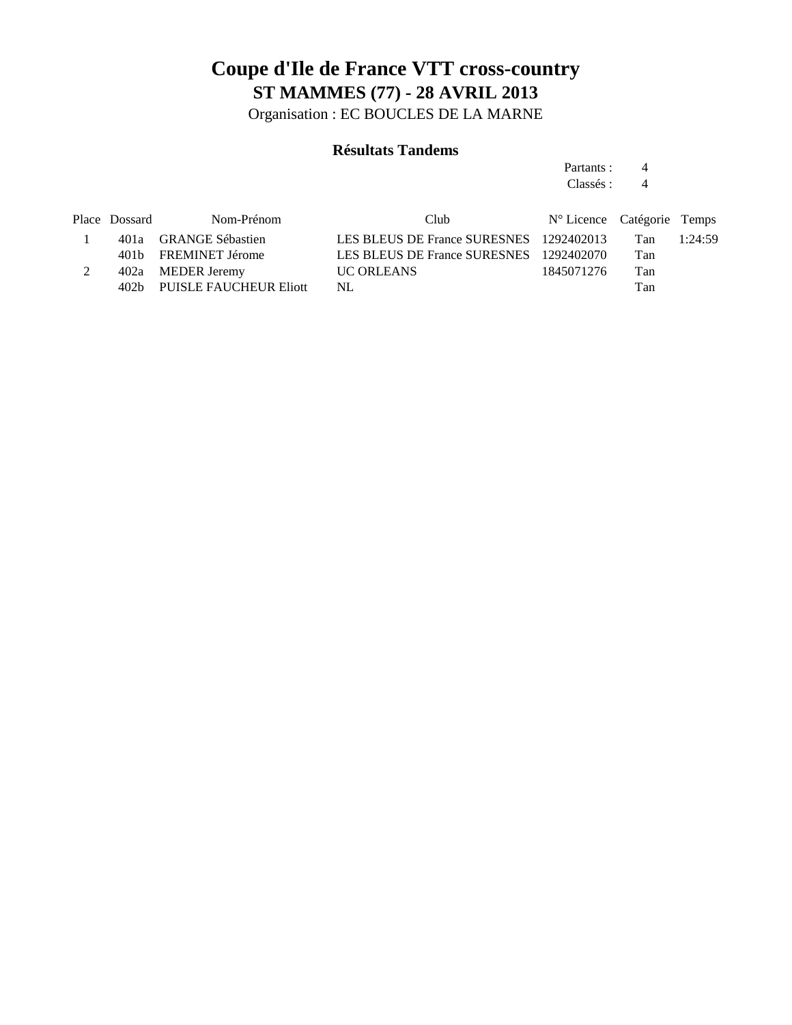Organisation : EC BOUCLES DE LA MARNE

#### **Résultats Tandems**

Partants : 4 Classés: 4

Place Dossard Nom-Prénom Club Club N° Licence Catégorie Temps 1 401a GRANGE Sébastien LES BLEUS DE France SURESNES 1292402013 Tan 1:24:59 401b FREMINET Jérome LES BLEUS DE France SURESNES 1292402070 Tan 2 402a MEDER Jeremy UC ORLEANS 1845071276 Tan 402b PUISLE FAUCHEUR Eliott NL Tan